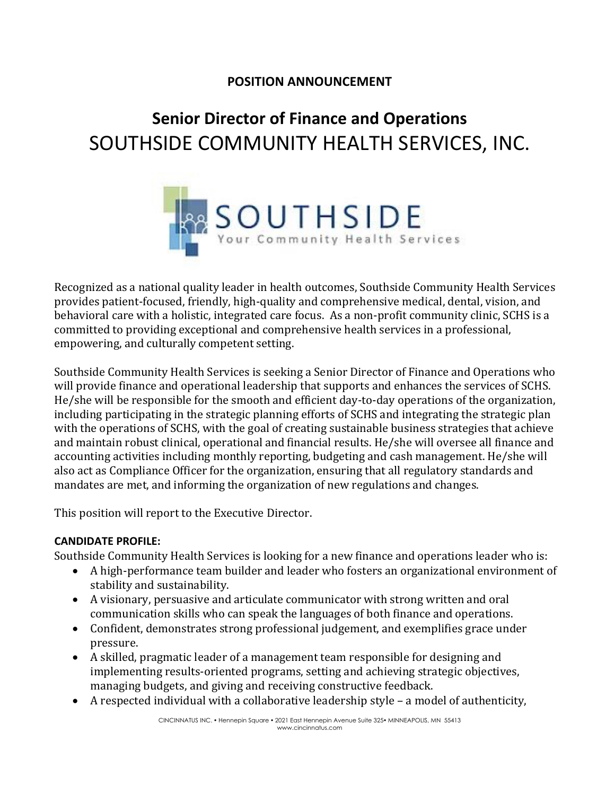## **POSITION ANNOUNCEMENT**

# **Senior Director of Finance and Operations** SOUTHSIDE COMMUNITY HEALTH SERVICES, INC.



Recognized as a national quality leader in health outcomes, Southside Community Health Services provides patient-focused, friendly, high-quality and comprehensive medical, dental, vision, and behavioral care with a holistic, integrated care focus. As a non-profit community clinic, SCHS is a committed to providing exceptional and comprehensive health services in a professional, empowering, and culturally competent setting.

Southside Community Health Services is seeking a Senior Director of Finance and Operations who will provide finance and operational leadership that supports and enhances the services of SCHS. He/she will be responsible for the smooth and efficient day-to-day operations of the organization, including participating in the strategic planning efforts of SCHS and integrating the strategic plan with the operations of SCHS, with the goal of creating sustainable business strategies that achieve and maintain robust clinical, operational and financial results. He/she will oversee all finance and accounting activities including monthly reporting, budgeting and cash management. He/she will also act as Compliance Officer for the organization, ensuring that all regulatory standards and mandates are met, and informing the organization of new regulations and changes.

This position will report to the Executive Director.

#### **CANDIDATE PROFILE:**

Southside Community Health Services is looking for a new finance and operations leader who is:

- A high-performance team builder and leader who fosters an organizational environment of stability and sustainability.
- A visionary, persuasive and articulate communicator with strong written and oral communication skills who can speak the languages of both finance and operations.
- Confident, demonstrates strong professional judgement, and exemplifies grace under pressure.
- A skilled, pragmatic leader of a management team responsible for designing and implementing results-oriented programs, setting and achieving strategic objectives, managing budgets, and giving and receiving constructive feedback.
- A respected individual with a collaborative leadership style  $-$  a model of authenticity,